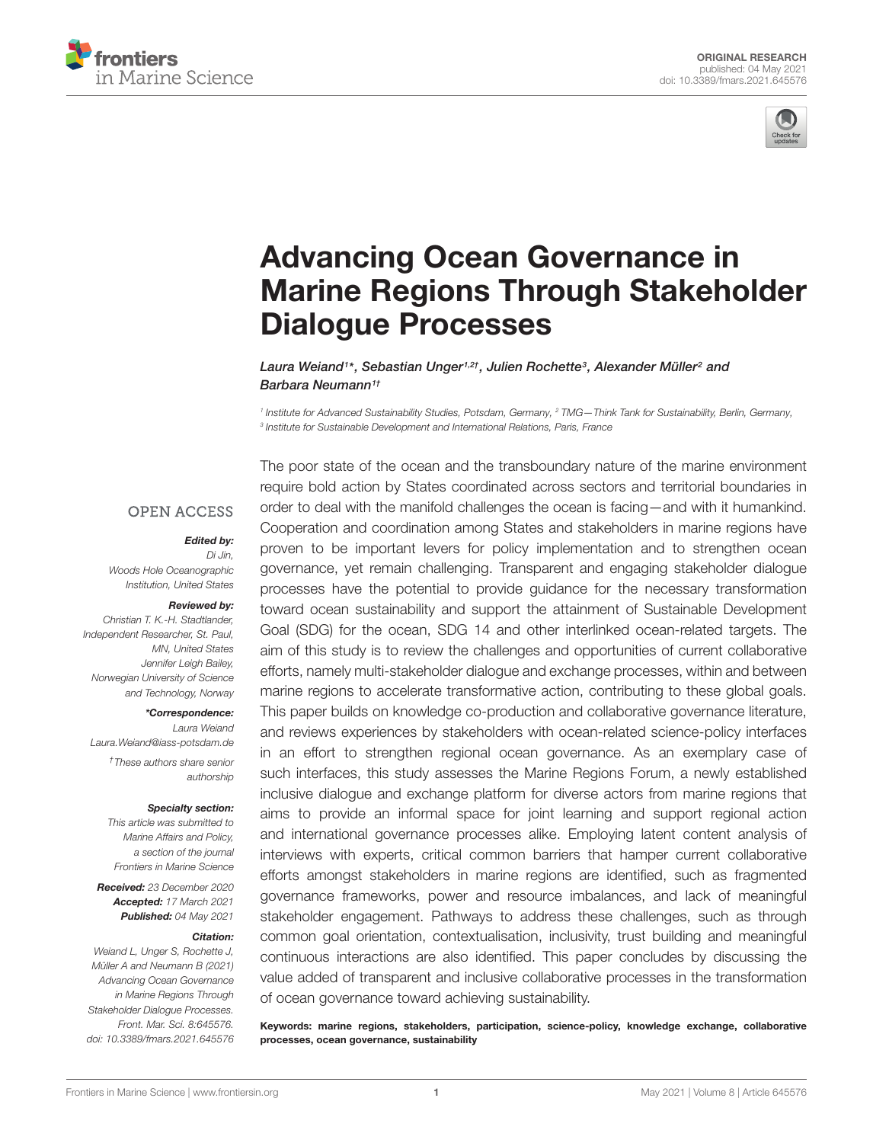



# Advancing Ocean Governance in [Marine Regions Through Stakeholder](https://www.frontiersin.org/articles/10.3389/fmars.2021.645576/full) Dialogue Processes

Laura Weiand<sup>1</sup> \*, Sebastian Unger1,2† , Julien Rochette<sup>3</sup> , Alexander Müller<sup>2</sup> and Barbara Neumann<sup>1†</sup>

1 Institute for Advanced Sustainability Studies, Potsdam, Germany, <sup>2</sup> TMG—Think Tank for Sustainability, Berlin, Germany, 3 Institute for Sustainable Development and International Relations, Paris, France

#### **OPEN ACCESS**

#### Edited by:

Di Jin, Woods Hole Oceanographic Institution, United States

#### Reviewed by:

Christian T. K.-H. Stadtlander, Independent Researcher, St. Paul, MN, United States Jennifer Leigh Bailey, Norwegian University of Science and Technology, Norway

\*Correspondence:

Laura Weiand Laura.Weiand@iass-potsdam.de †These authors share senior authorship

#### Specialty section:

This article was submitted to Marine Affairs and Policy, a section of the journal Frontiers in Marine Science

Received: 23 December 2020 Accepted: 17 March 2021 Published: 04 May 2021

#### Citation:

Weiand L, Unger S, Rochette J, Müller A and Neumann B (2021) Advancing Ocean Governance in Marine Regions Through Stakeholder Dialogue Processes. Front. Mar. Sci. 8:645576. doi: [10.3389/fmars.2021.645576](https://doi.org/10.3389/fmars.2021.645576) The poor state of the ocean and the transboundary nature of the marine environment require bold action by States coordinated across sectors and territorial boundaries in order to deal with the manifold challenges the ocean is facing—and with it humankind. Cooperation and coordination among States and stakeholders in marine regions have proven to be important levers for policy implementation and to strengthen ocean governance, yet remain challenging. Transparent and engaging stakeholder dialogue processes have the potential to provide guidance for the necessary transformation toward ocean sustainability and support the attainment of Sustainable Development Goal (SDG) for the ocean, SDG 14 and other interlinked ocean-related targets. The aim of this study is to review the challenges and opportunities of current collaborative efforts, namely multi-stakeholder dialogue and exchange processes, within and between marine regions to accelerate transformative action, contributing to these global goals. This paper builds on knowledge co-production and collaborative governance literature, and reviews experiences by stakeholders with ocean-related science-policy interfaces in an effort to strengthen regional ocean governance. As an exemplary case of such interfaces, this study assesses the Marine Regions Forum, a newly established inclusive dialogue and exchange platform for diverse actors from marine regions that aims to provide an informal space for joint learning and support regional action and international governance processes alike. Employing latent content analysis of interviews with experts, critical common barriers that hamper current collaborative efforts amongst stakeholders in marine regions are identified, such as fragmented governance frameworks, power and resource imbalances, and lack of meaningful stakeholder engagement. Pathways to address these challenges, such as through common goal orientation, contextualisation, inclusivity, trust building and meaningful continuous interactions are also identified. This paper concludes by discussing the value added of transparent and inclusive collaborative processes in the transformation of ocean governance toward achieving sustainability.

Keywords: marine regions, stakeholders, participation, science-policy, knowledge exchange, collaborative processes, ocean governance, sustainability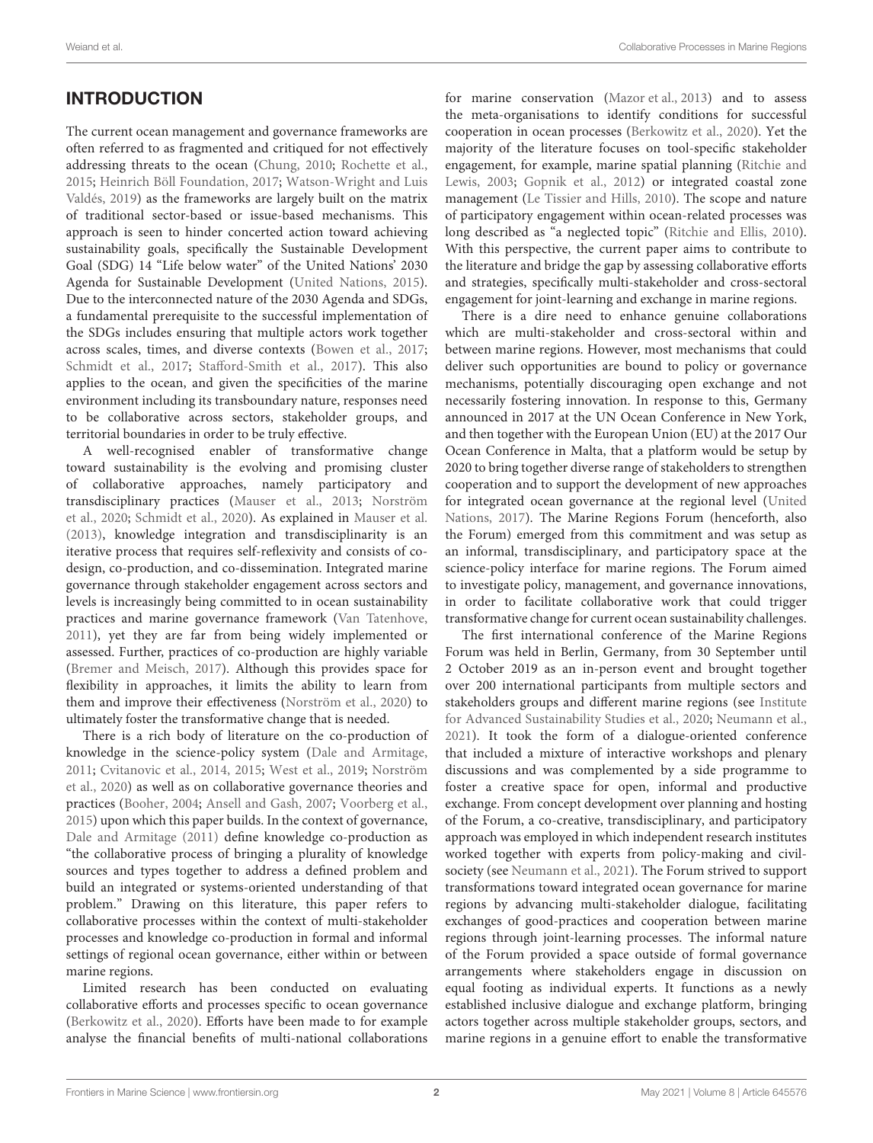# **INTRODUCTION**

The current ocean management and governance frameworks are often referred to as fragmented and critiqued for not effectively addressing threats to the ocean [\(Chung,](#page-10-0) [2010;](#page-10-0) [Rochette et al.,](#page-11-0) [2015;](#page-11-0) [Heinrich Böll Foundation,](#page-10-1) [2017;](#page-10-1) [Watson-Wright and Luis](#page-11-1) [Valdés,](#page-11-1) [2019\)](#page-11-1) as the frameworks are largely built on the matrix of traditional sector-based or issue-based mechanisms. This approach is seen to hinder concerted action toward achieving sustainability goals, specifically the Sustainable Development Goal (SDG) 14 "Life below water" of the United Nations' 2030 Agenda for Sustainable Development [\(United Nations,](#page-11-2) [2015\)](#page-11-2). Due to the interconnected nature of the 2030 Agenda and SDGs, a fundamental prerequisite to the successful implementation of the SDGs includes ensuring that multiple actors work together across scales, times, and diverse contexts [\(Bowen et al.,](#page-10-2) [2017;](#page-10-2) [Schmidt et al.,](#page-11-3) [2017;](#page-11-3) [Stafford-Smith et al.,](#page-11-4) [2017\)](#page-11-4). This also applies to the ocean, and given the specificities of the marine environment including its transboundary nature, responses need to be collaborative across sectors, stakeholder groups, and territorial boundaries in order to be truly effective.

A well-recognised enabler of transformative change toward sustainability is the evolving and promising cluster of collaborative approaches, namely participatory and transdisciplinary practices [\(Mauser et al.,](#page-11-5) [2013;](#page-11-5) [Norström](#page-11-6) [et al.,](#page-11-6) [2020;](#page-11-6) [Schmidt et al.,](#page-11-7) [2020\)](#page-11-7). As explained in [Mauser et al.](#page-11-5) [\(2013\)](#page-11-5), knowledge integration and transdisciplinarity is an iterative process that requires self-reflexivity and consists of codesign, co-production, and co-dissemination. Integrated marine governance through stakeholder engagement across sectors and levels is increasingly being committed to in ocean sustainability practices and marine governance framework [\(Van Tatenhove,](#page-11-8) [2011\)](#page-11-8), yet they are far from being widely implemented or assessed. Further, practices of co-production are highly variable [\(Bremer and Meisch,](#page-10-3) [2017\)](#page-10-3). Although this provides space for flexibility in approaches, it limits the ability to learn from them and improve their effectiveness [\(Norström et al.,](#page-11-6) [2020\)](#page-11-6) to ultimately foster the transformative change that is needed.

There is a rich body of literature on the co-production of knowledge in the science-policy system [\(Dale and Armitage,](#page-10-4) [2011;](#page-10-4) [Cvitanovic et al.,](#page-10-5) [2014,](#page-10-5) [2015;](#page-10-6) [West et al.,](#page-11-9) [2019;](#page-11-9) [Norström](#page-11-6) [et al.,](#page-11-6) [2020\)](#page-11-6) as well as on collaborative governance theories and practices [\(Booher,](#page-10-7) [2004;](#page-10-7) [Ansell and Gash,](#page-10-8) [2007;](#page-10-8) [Voorberg et al.,](#page-11-10) [2015\)](#page-11-10) upon which this paper builds. In the context of governance, [Dale and Armitage](#page-10-4) [\(2011\)](#page-10-4) define knowledge co-production as "the collaborative process of bringing a plurality of knowledge sources and types together to address a defined problem and build an integrated or systems-oriented understanding of that problem." Drawing on this literature, this paper refers to collaborative processes within the context of multi-stakeholder processes and knowledge co-production in formal and informal settings of regional ocean governance, either within or between marine regions.

Limited research has been conducted on evaluating collaborative efforts and processes specific to ocean governance [\(Berkowitz et al.,](#page-10-9) [2020\)](#page-10-9). Efforts have been made to for example analyse the financial benefits of multi-national collaborations

for marine conservation [\(Mazor et al.,](#page-11-11) [2013\)](#page-11-11) and to assess the meta-organisations to identify conditions for successful cooperation in ocean processes [\(Berkowitz et al.,](#page-10-9) [2020\)](#page-10-9). Yet the majority of the literature focuses on tool-specific stakeholder engagement, for example, marine spatial planning [\(Ritchie and](#page-11-12) [Lewis,](#page-11-12) [2003;](#page-11-12) [Gopnik et al.,](#page-10-10) [2012\)](#page-10-10) or integrated coastal zone management [\(Le Tissier and Hills,](#page-10-11) [2010\)](#page-10-11). The scope and nature of participatory engagement within ocean-related processes was long described as "a neglected topic" [\(Ritchie and Ellis,](#page-11-13) [2010\)](#page-11-13). With this perspective, the current paper aims to contribute to the literature and bridge the gap by assessing collaborative efforts and strategies, specifically multi-stakeholder and cross-sectoral engagement for joint-learning and exchange in marine regions.

There is a dire need to enhance genuine collaborations which are multi-stakeholder and cross-sectoral within and between marine regions. However, most mechanisms that could deliver such opportunities are bound to policy or governance mechanisms, potentially discouraging open exchange and not necessarily fostering innovation. In response to this, Germany announced in 2017 at the UN Ocean Conference in New York, and then together with the European Union (EU) at the 2017 Our Ocean Conference in Malta, that a platform would be setup by 2020 to bring together diverse range of stakeholders to strengthen cooperation and to support the development of new approaches for integrated ocean governance at the regional level [\(United](#page-11-14) [Nations,](#page-11-14) [2017\)](#page-11-14). The Marine Regions Forum (henceforth, also the Forum) emerged from this commitment and was setup as an informal, transdisciplinary, and participatory space at the science-policy interface for marine regions. The Forum aimed to investigate policy, management, and governance innovations, in order to facilitate collaborative work that could trigger transformative change for current ocean sustainability challenges.

The first international conference of the Marine Regions Forum was held in Berlin, Germany, from 30 September until 2 October 2019 as an in-person event and brought together over 200 international participants from multiple sectors and stakeholders groups and different marine regions (see [Institute](#page-10-12) [for Advanced Sustainability Studies et al.,](#page-10-12) [2020;](#page-10-12) [Neumann et al.,](#page-11-15) [2021\)](#page-11-15). It took the form of a dialogue-oriented conference that included a mixture of interactive workshops and plenary discussions and was complemented by a side programme to foster a creative space for open, informal and productive exchange. From concept development over planning and hosting of the Forum, a co-creative, transdisciplinary, and participatory approach was employed in which independent research institutes worked together with experts from policy-making and civilsociety (see [Neumann et al.,](#page-11-15) [2021\)](#page-11-15). The Forum strived to support transformations toward integrated ocean governance for marine regions by advancing multi-stakeholder dialogue, facilitating exchanges of good-practices and cooperation between marine regions through joint-learning processes. The informal nature of the Forum provided a space outside of formal governance arrangements where stakeholders engage in discussion on equal footing as individual experts. It functions as a newly established inclusive dialogue and exchange platform, bringing actors together across multiple stakeholder groups, sectors, and marine regions in a genuine effort to enable the transformative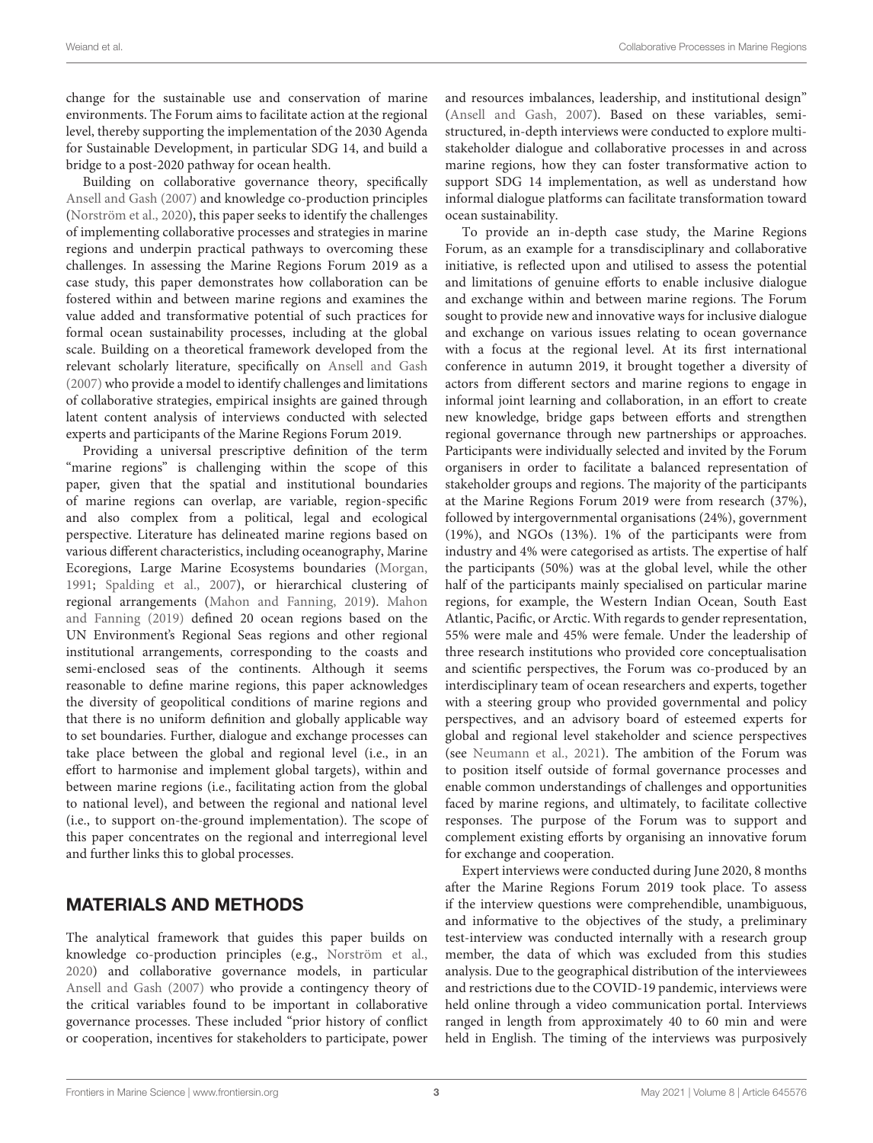change for the sustainable use and conservation of marine environments. The Forum aims to facilitate action at the regional level, thereby supporting the implementation of the 2030 Agenda for Sustainable Development, in particular SDG 14, and build a bridge to a post-2020 pathway for ocean health.

Building on collaborative governance theory, specifically [Ansell and Gash](#page-10-8) [\(2007\)](#page-10-8) and knowledge co-production principles [\(Norström et al.,](#page-11-6) [2020\)](#page-11-6), this paper seeks to identify the challenges of implementing collaborative processes and strategies in marine regions and underpin practical pathways to overcoming these challenges. In assessing the Marine Regions Forum 2019 as a case study, this paper demonstrates how collaboration can be fostered within and between marine regions and examines the value added and transformative potential of such practices for formal ocean sustainability processes, including at the global scale. Building on a theoretical framework developed from the relevant scholarly literature, specifically on [Ansell and Gash](#page-10-8) [\(2007\)](#page-10-8) who provide a model to identify challenges and limitations of collaborative strategies, empirical insights are gained through latent content analysis of interviews conducted with selected experts and participants of the Marine Regions Forum 2019.

Providing a universal prescriptive definition of the term "marine regions" is challenging within the scope of this paper, given that the spatial and institutional boundaries of marine regions can overlap, are variable, region-specific and also complex from a political, legal and ecological perspective. Literature has delineated marine regions based on various different characteristics, including oceanography, Marine Ecoregions, Large Marine Ecosystems boundaries [\(Morgan,](#page-11-16) [1991;](#page-11-16) [Spalding et al.,](#page-11-17) [2007\)](#page-11-17), or hierarchical clustering of regional arrangements [\(Mahon and Fanning,](#page-11-18) [2019\)](#page-11-18). [Mahon](#page-11-18) [and Fanning](#page-11-18) [\(2019\)](#page-11-18) defined 20 ocean regions based on the UN Environment's Regional Seas regions and other regional institutional arrangements, corresponding to the coasts and semi-enclosed seas of the continents. Although it seems reasonable to define marine regions, this paper acknowledges the diversity of geopolitical conditions of marine regions and that there is no uniform definition and globally applicable way to set boundaries. Further, dialogue and exchange processes can take place between the global and regional level (i.e., in an effort to harmonise and implement global targets), within and between marine regions (i.e., facilitating action from the global to national level), and between the regional and national level (i.e., to support on-the-ground implementation). The scope of this paper concentrates on the regional and interregional level and further links this to global processes.

# MATERIALS AND METHODS

The analytical framework that guides this paper builds on knowledge co-production principles (e.g., [Norström et al.,](#page-11-6) [2020\)](#page-11-6) and collaborative governance models, in particular [Ansell and Gash](#page-10-8) [\(2007\)](#page-10-8) who provide a contingency theory of the critical variables found to be important in collaborative governance processes. These included "prior history of conflict or cooperation, incentives for stakeholders to participate, power

and resources imbalances, leadership, and institutional design" [\(Ansell and Gash,](#page-10-8) [2007\)](#page-10-8). Based on these variables, semistructured, in-depth interviews were conducted to explore multistakeholder dialogue and collaborative processes in and across marine regions, how they can foster transformative action to support SDG 14 implementation, as well as understand how informal dialogue platforms can facilitate transformation toward ocean sustainability.

To provide an in-depth case study, the Marine Regions Forum, as an example for a transdisciplinary and collaborative initiative, is reflected upon and utilised to assess the potential and limitations of genuine efforts to enable inclusive dialogue and exchange within and between marine regions. The Forum sought to provide new and innovative ways for inclusive dialogue and exchange on various issues relating to ocean governance with a focus at the regional level. At its first international conference in autumn 2019, it brought together a diversity of actors from different sectors and marine regions to engage in informal joint learning and collaboration, in an effort to create new knowledge, bridge gaps between efforts and strengthen regional governance through new partnerships or approaches. Participants were individually selected and invited by the Forum organisers in order to facilitate a balanced representation of stakeholder groups and regions. The majority of the participants at the Marine Regions Forum 2019 were from research (37%), followed by intergovernmental organisations (24%), government (19%), and NGOs (13%). 1% of the participants were from industry and 4% were categorised as artists. The expertise of half the participants (50%) was at the global level, while the other half of the participants mainly specialised on particular marine regions, for example, the Western Indian Ocean, South East Atlantic, Pacific, or Arctic. With regards to gender representation, 55% were male and 45% were female. Under the leadership of three research institutions who provided core conceptualisation and scientific perspectives, the Forum was co-produced by an interdisciplinary team of ocean researchers and experts, together with a steering group who provided governmental and policy perspectives, and an advisory board of esteemed experts for global and regional level stakeholder and science perspectives (see [Neumann et al.,](#page-11-15) [2021\)](#page-11-15). The ambition of the Forum was to position itself outside of formal governance processes and enable common understandings of challenges and opportunities faced by marine regions, and ultimately, to facilitate collective responses. The purpose of the Forum was to support and complement existing efforts by organising an innovative forum for exchange and cooperation.

Expert interviews were conducted during June 2020, 8 months after the Marine Regions Forum 2019 took place. To assess if the interview questions were comprehendible, unambiguous, and informative to the objectives of the study, a preliminary test-interview was conducted internally with a research group member, the data of which was excluded from this studies analysis. Due to the geographical distribution of the interviewees and restrictions due to the COVID-19 pandemic, interviews were held online through a video communication portal. Interviews ranged in length from approximately 40 to 60 min and were held in English. The timing of the interviews was purposively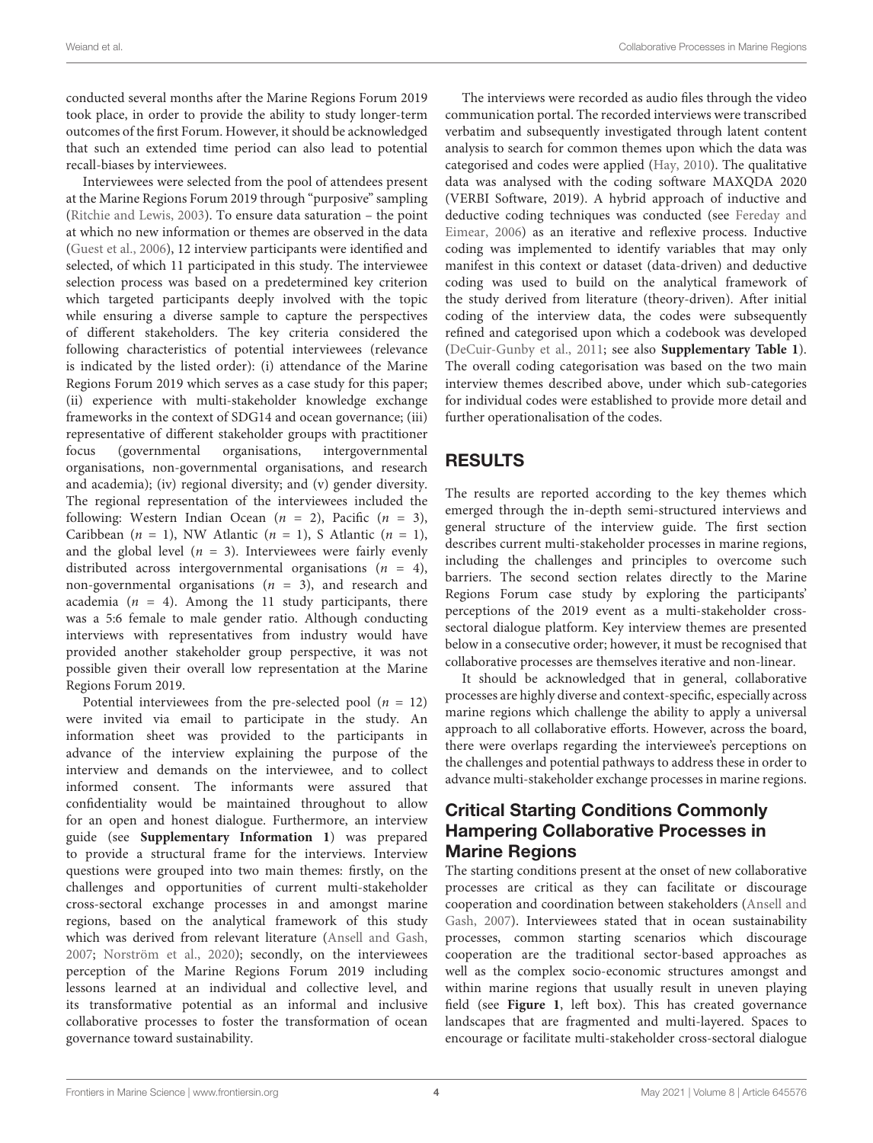conducted several months after the Marine Regions Forum 2019 took place, in order to provide the ability to study longer-term outcomes of the first Forum. However, it should be acknowledged that such an extended time period can also lead to potential recall-biases by interviewees.

Interviewees were selected from the pool of attendees present at the Marine Regions Forum 2019 through "purposive" sampling [\(Ritchie and Lewis,](#page-11-12) [2003\)](#page-11-12). To ensure data saturation – the point at which no new information or themes are observed in the data [\(Guest et al.,](#page-10-13) [2006\)](#page-10-13), 12 interview participants were identified and selected, of which 11 participated in this study. The interviewee selection process was based on a predetermined key criterion which targeted participants deeply involved with the topic while ensuring a diverse sample to capture the perspectives of different stakeholders. The key criteria considered the following characteristics of potential interviewees (relevance is indicated by the listed order): (i) attendance of the Marine Regions Forum 2019 which serves as a case study for this paper; (ii) experience with multi-stakeholder knowledge exchange frameworks in the context of SDG14 and ocean governance; (iii) representative of different stakeholder groups with practitioner focus (governmental organisations, intergovernmental organisations, non-governmental organisations, and research and academia); (iv) regional diversity; and (v) gender diversity. The regional representation of the interviewees included the following: Western Indian Ocean  $(n = 2)$ , Pacific  $(n = 3)$ , Caribbean  $(n = 1)$ , NW Atlantic  $(n = 1)$ , S Atlantic  $(n = 1)$ , and the global level ( $n = 3$ ). Interviewees were fairly evenly distributed across intergovernmental organisations  $(n = 4)$ , non-governmental organisations ( $n = 3$ ), and research and academia ( $n = 4$ ). Among the 11 study participants, there was a 5:6 female to male gender ratio. Although conducting interviews with representatives from industry would have provided another stakeholder group perspective, it was not possible given their overall low representation at the Marine Regions Forum 2019.

Potential interviewees from the pre-selected pool ( $n = 12$ ) were invited via email to participate in the study. An information sheet was provided to the participants in advance of the interview explaining the purpose of the interview and demands on the interviewee, and to collect informed consent. The informants were assured that confidentiality would be maintained throughout to allow for an open and honest dialogue. Furthermore, an interview guide (see **[Supplementary Information 1](#page-10-14)**) was prepared to provide a structural frame for the interviews. Interview questions were grouped into two main themes: firstly, on the challenges and opportunities of current multi-stakeholder cross-sectoral exchange processes in and amongst marine regions, based on the analytical framework of this study which was derived from relevant literature [\(Ansell and Gash,](#page-10-8) [2007;](#page-10-8) [Norström et al.,](#page-11-6) [2020\)](#page-11-6); secondly, on the interviewees perception of the Marine Regions Forum 2019 including lessons learned at an individual and collective level, and its transformative potential as an informal and inclusive collaborative processes to foster the transformation of ocean governance toward sustainability.

The interviews were recorded as audio files through the video communication portal. The recorded interviews were transcribed verbatim and subsequently investigated through latent content analysis to search for common themes upon which the data was categorised and codes were applied [\(Hay,](#page-10-15) [2010\)](#page-10-15). The qualitative data was analysed with the coding software MAXQDA 2020 (VERBI Software, 2019). A hybrid approach of inductive and deductive coding techniques was conducted (see [Fereday and](#page-10-16) [Eimear,](#page-10-16) [2006\)](#page-10-16) as an iterative and reflexive process. Inductive coding was implemented to identify variables that may only manifest in this context or dataset (data-driven) and deductive coding was used to build on the analytical framework of the study derived from literature (theory-driven). After initial coding of the interview data, the codes were subsequently refined and categorised upon which a codebook was developed [\(DeCuir-Gunby et al.,](#page-10-17) [2011;](#page-10-17) see also **[Supplementary Table 1](#page-10-14)**). The overall coding categorisation was based on the two main interview themes described above, under which sub-categories for individual codes were established to provide more detail and further operationalisation of the codes.

# RESULTS

The results are reported according to the key themes which emerged through the in-depth semi-structured interviews and general structure of the interview guide. The first section describes current multi-stakeholder processes in marine regions, including the challenges and principles to overcome such barriers. The second section relates directly to the Marine Regions Forum case study by exploring the participants' perceptions of the 2019 event as a multi-stakeholder crosssectoral dialogue platform. Key interview themes are presented below in a consecutive order; however, it must be recognised that collaborative processes are themselves iterative and non-linear.

It should be acknowledged that in general, collaborative processes are highly diverse and context-specific, especially across marine regions which challenge the ability to apply a universal approach to all collaborative efforts. However, across the board, there were overlaps regarding the interviewee's perceptions on the challenges and potential pathways to address these in order to advance multi-stakeholder exchange processes in marine regions.

# Critical Starting Conditions Commonly Hampering Collaborative Processes in Marine Regions

The starting conditions present at the onset of new collaborative processes are critical as they can facilitate or discourage cooperation and coordination between stakeholders [\(Ansell and](#page-10-8) [Gash,](#page-10-8) [2007\)](#page-10-8). Interviewees stated that in ocean sustainability processes, common starting scenarios which discourage cooperation are the traditional sector-based approaches as well as the complex socio-economic structures amongst and within marine regions that usually result in uneven playing field (see **[Figure 1](#page-4-0)**, left box). This has created governance landscapes that are fragmented and multi-layered. Spaces to encourage or facilitate multi-stakeholder cross-sectoral dialogue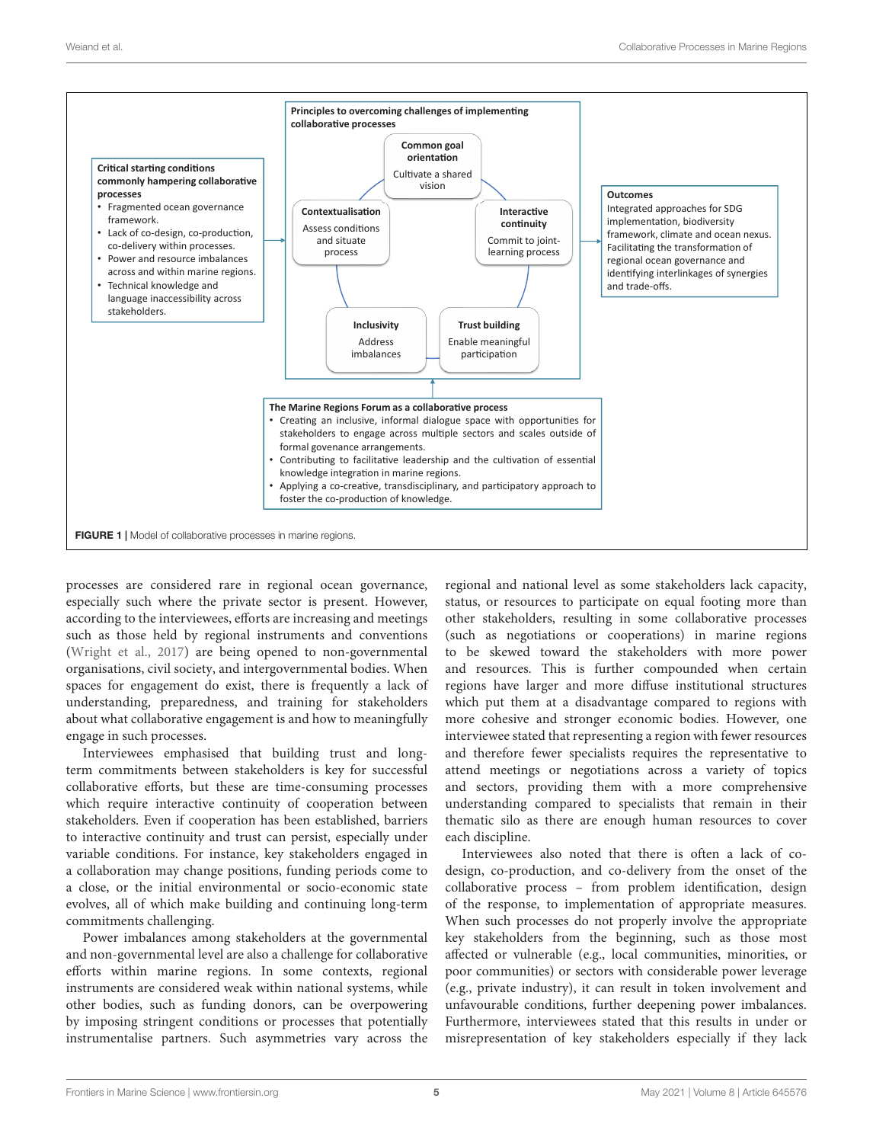

<span id="page-4-0"></span>processes are considered rare in regional ocean governance, especially such where the private sector is present. However, according to the interviewees, efforts are increasing and meetings such as those held by regional instruments and conventions [\(Wright et al.,](#page-11-19) [2017\)](#page-11-19) are being opened to non-governmental organisations, civil society, and intergovernmental bodies. When spaces for engagement do exist, there is frequently a lack of understanding, preparedness, and training for stakeholders about what collaborative engagement is and how to meaningfully engage in such processes.

Interviewees emphasised that building trust and longterm commitments between stakeholders is key for successful collaborative efforts, but these are time-consuming processes which require interactive continuity of cooperation between stakeholders. Even if cooperation has been established, barriers to interactive continuity and trust can persist, especially under variable conditions. For instance, key stakeholders engaged in a collaboration may change positions, funding periods come to a close, or the initial environmental or socio-economic state evolves, all of which make building and continuing long-term commitments challenging.

Power imbalances among stakeholders at the governmental and non-governmental level are also a challenge for collaborative efforts within marine regions. In some contexts, regional instruments are considered weak within national systems, while other bodies, such as funding donors, can be overpowering by imposing stringent conditions or processes that potentially instrumentalise partners. Such asymmetries vary across the regional and national level as some stakeholders lack capacity, status, or resources to participate on equal footing more than other stakeholders, resulting in some collaborative processes (such as negotiations or cooperations) in marine regions to be skewed toward the stakeholders with more power and resources. This is further compounded when certain regions have larger and more diffuse institutional structures which put them at a disadvantage compared to regions with more cohesive and stronger economic bodies. However, one interviewee stated that representing a region with fewer resources and therefore fewer specialists requires the representative to attend meetings or negotiations across a variety of topics and sectors, providing them with a more comprehensive understanding compared to specialists that remain in their thematic silo as there are enough human resources to cover each discipline.

Interviewees also noted that there is often a lack of codesign, co-production, and co-delivery from the onset of the collaborative process – from problem identification, design of the response, to implementation of appropriate measures. When such processes do not properly involve the appropriate key stakeholders from the beginning, such as those most affected or vulnerable (e.g., local communities, minorities, or poor communities) or sectors with considerable power leverage (e.g., private industry), it can result in token involvement and unfavourable conditions, further deepening power imbalances. Furthermore, interviewees stated that this results in under or misrepresentation of key stakeholders especially if they lack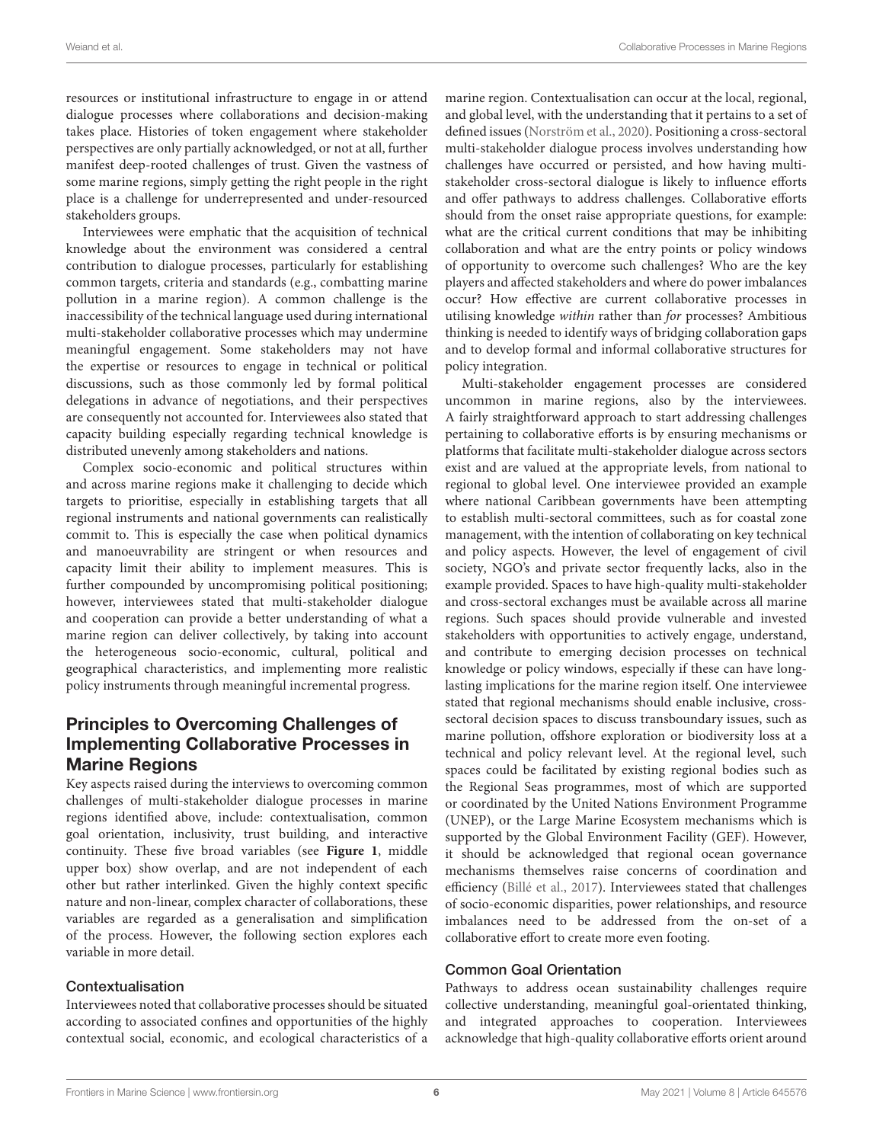resources or institutional infrastructure to engage in or attend dialogue processes where collaborations and decision-making takes place. Histories of token engagement where stakeholder perspectives are only partially acknowledged, or not at all, further manifest deep-rooted challenges of trust. Given the vastness of some marine regions, simply getting the right people in the right place is a challenge for underrepresented and under-resourced stakeholders groups.

Interviewees were emphatic that the acquisition of technical knowledge about the environment was considered a central contribution to dialogue processes, particularly for establishing common targets, criteria and standards (e.g., combatting marine pollution in a marine region). A common challenge is the inaccessibility of the technical language used during international multi-stakeholder collaborative processes which may undermine meaningful engagement. Some stakeholders may not have the expertise or resources to engage in technical or political discussions, such as those commonly led by formal political delegations in advance of negotiations, and their perspectives are consequently not accounted for. Interviewees also stated that capacity building especially regarding technical knowledge is distributed unevenly among stakeholders and nations.

Complex socio-economic and political structures within and across marine regions make it challenging to decide which targets to prioritise, especially in establishing targets that all regional instruments and national governments can realistically commit to. This is especially the case when political dynamics and manoeuvrability are stringent or when resources and capacity limit their ability to implement measures. This is further compounded by uncompromising political positioning; however, interviewees stated that multi-stakeholder dialogue and cooperation can provide a better understanding of what a marine region can deliver collectively, by taking into account the heterogeneous socio-economic, cultural, political and geographical characteristics, and implementing more realistic policy instruments through meaningful incremental progress.

# Principles to Overcoming Challenges of Implementing Collaborative Processes in Marine Regions

Key aspects raised during the interviews to overcoming common challenges of multi-stakeholder dialogue processes in marine regions identified above, include: contextualisation, common goal orientation, inclusivity, trust building, and interactive continuity. These five broad variables (see **[Figure 1](#page-4-0)**, middle upper box) show overlap, and are not independent of each other but rather interlinked. Given the highly context specific nature and non-linear, complex character of collaborations, these variables are regarded as a generalisation and simplification of the process. However, the following section explores each variable in more detail.

#### Contextualisation

Interviewees noted that collaborative processes should be situated according to associated confines and opportunities of the highly contextual social, economic, and ecological characteristics of a

marine region. Contextualisation can occur at the local, regional, and global level, with the understanding that it pertains to a set of defined issues [\(Norström et al.,](#page-11-6) [2020\)](#page-11-6). Positioning a cross-sectoral multi-stakeholder dialogue process involves understanding how challenges have occurred or persisted, and how having multistakeholder cross-sectoral dialogue is likely to influence efforts and offer pathways to address challenges. Collaborative efforts should from the onset raise appropriate questions, for example: what are the critical current conditions that may be inhibiting collaboration and what are the entry points or policy windows of opportunity to overcome such challenges? Who are the key players and affected stakeholders and where do power imbalances occur? How effective are current collaborative processes in utilising knowledge within rather than for processes? Ambitious thinking is needed to identify ways of bridging collaboration gaps and to develop formal and informal collaborative structures for policy integration.

Multi-stakeholder engagement processes are considered uncommon in marine regions, also by the interviewees. A fairly straightforward approach to start addressing challenges pertaining to collaborative efforts is by ensuring mechanisms or platforms that facilitate multi-stakeholder dialogue across sectors exist and are valued at the appropriate levels, from national to regional to global level. One interviewee provided an example where national Caribbean governments have been attempting to establish multi-sectoral committees, such as for coastal zone management, with the intention of collaborating on key technical and policy aspects. However, the level of engagement of civil society, NGO's and private sector frequently lacks, also in the example provided. Spaces to have high-quality multi-stakeholder and cross-sectoral exchanges must be available across all marine regions. Such spaces should provide vulnerable and invested stakeholders with opportunities to actively engage, understand, and contribute to emerging decision processes on technical knowledge or policy windows, especially if these can have longlasting implications for the marine region itself. One interviewee stated that regional mechanisms should enable inclusive, crosssectoral decision spaces to discuss transboundary issues, such as marine pollution, offshore exploration or biodiversity loss at a technical and policy relevant level. At the regional level, such spaces could be facilitated by existing regional bodies such as the Regional Seas programmes, most of which are supported or coordinated by the United Nations Environment Programme (UNEP), or the Large Marine Ecosystem mechanisms which is supported by the Global Environment Facility (GEF). However, it should be acknowledged that regional ocean governance mechanisms themselves raise concerns of coordination and efficiency [\(Billé et al.,](#page-10-18) [2017\)](#page-10-18). Interviewees stated that challenges of socio-economic disparities, power relationships, and resource imbalances need to be addressed from the on-set of a collaborative effort to create more even footing.

#### Common Goal Orientation

Pathways to address ocean sustainability challenges require collective understanding, meaningful goal-orientated thinking, and integrated approaches to cooperation. Interviewees acknowledge that high-quality collaborative efforts orient around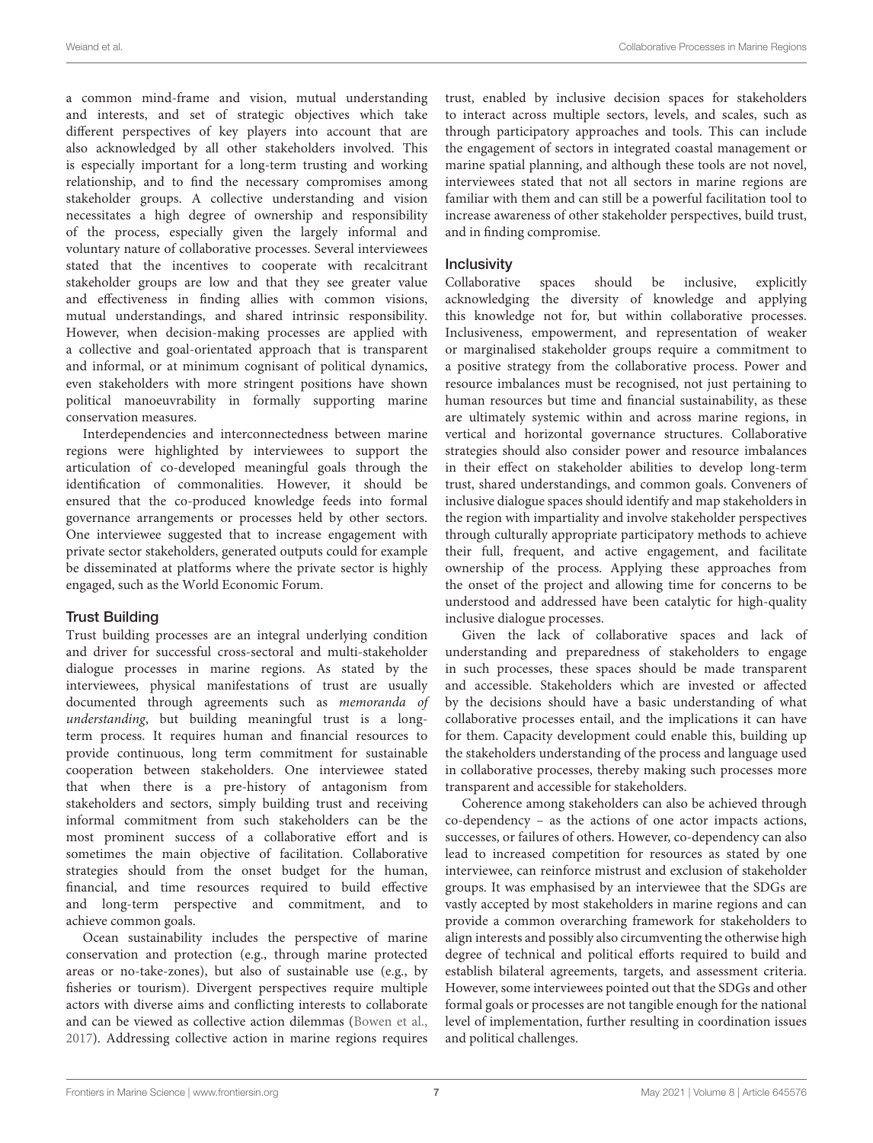a common mind-frame and vision, mutual understanding and interests, and set of strategic objectives which take different perspectives of key players into account that are also acknowledged by all other stakeholders involved. This is especially important for a long-term trusting and working relationship, and to find the necessary compromises among stakeholder groups. A collective understanding and vision necessitates a high degree of ownership and responsibility of the process, especially given the largely informal and voluntary nature of collaborative processes. Several interviewees stated that the incentives to cooperate with recalcitrant stakeholder groups are low and that they see greater value and effectiveness in finding allies with common visions, mutual understandings, and shared intrinsic responsibility. However, when decision-making processes are applied with a collective and goal-orientated approach that is transparent and informal, or at minimum cognisant of political dynamics, even stakeholders with more stringent positions have shown political manoeuvrability in formally supporting marine conservation measures.

Interdependencies and interconnectedness between marine regions were highlighted by interviewees to support the articulation of co-developed meaningful goals through the identification of commonalities. However, it should be ensured that the co-produced knowledge feeds into formal governance arrangements or processes held by other sectors. One interviewee suggested that to increase engagement with private sector stakeholders, generated outputs could for example be disseminated at platforms where the private sector is highly engaged, such as the World Economic Forum.

#### Trust Building

Trust building processes are an integral underlying condition and driver for successful cross-sectoral and multi-stakeholder dialogue processes in marine regions. As stated by the interviewees, physical manifestations of trust are usually documented through agreements such as memoranda of understanding, but building meaningful trust is a longterm process. It requires human and financial resources to provide continuous, long term commitment for sustainable cooperation between stakeholders. One interviewee stated that when there is a pre-history of antagonism from stakeholders and sectors, simply building trust and receiving informal commitment from such stakeholders can be the most prominent success of a collaborative effort and is sometimes the main objective of facilitation. Collaborative strategies should from the onset budget for the human, financial, and time resources required to build effective and long-term perspective and commitment, and to achieve common goals.

Ocean sustainability includes the perspective of marine conservation and protection (e.g., through marine protected areas or no-take-zones), but also of sustainable use (e.g., by fisheries or tourism). Divergent perspectives require multiple actors with diverse aims and conflicting interests to collaborate and can be viewed as collective action dilemmas [\(Bowen et al.,](#page-10-2) [2017\)](#page-10-2). Addressing collective action in marine regions requires trust, enabled by inclusive decision spaces for stakeholders to interact across multiple sectors, levels, and scales, such as through participatory approaches and tools. This can include the engagement of sectors in integrated coastal management or marine spatial planning, and although these tools are not novel, interviewees stated that not all sectors in marine regions are familiar with them and can still be a powerful facilitation tool to increase awareness of other stakeholder perspectives, build trust, and in finding compromise.

#### **Inclusivity**

Collaborative spaces should be inclusive, explicitly acknowledging the diversity of knowledge and applying this knowledge not for, but within collaborative processes. Inclusiveness, empowerment, and representation of weaker or marginalised stakeholder groups require a commitment to a positive strategy from the collaborative process. Power and resource imbalances must be recognised, not just pertaining to human resources but time and financial sustainability, as these are ultimately systemic within and across marine regions, in vertical and horizontal governance structures. Collaborative strategies should also consider power and resource imbalances in their effect on stakeholder abilities to develop long-term trust, shared understandings, and common goals. Conveners of inclusive dialogue spaces should identify and map stakeholders in the region with impartiality and involve stakeholder perspectives through culturally appropriate participatory methods to achieve their full, frequent, and active engagement, and facilitate ownership of the process. Applying these approaches from the onset of the project and allowing time for concerns to be understood and addressed have been catalytic for high-quality inclusive dialogue processes.

Given the lack of collaborative spaces and lack of understanding and preparedness of stakeholders to engage in such processes, these spaces should be made transparent and accessible. Stakeholders which are invested or affected by the decisions should have a basic understanding of what collaborative processes entail, and the implications it can have for them. Capacity development could enable this, building up the stakeholders understanding of the process and language used in collaborative processes, thereby making such processes more transparent and accessible for stakeholders.

Coherence among stakeholders can also be achieved through co-dependency – as the actions of one actor impacts actions, successes, or failures of others. However, co-dependency can also lead to increased competition for resources as stated by one interviewee, can reinforce mistrust and exclusion of stakeholder groups. It was emphasised by an interviewee that the SDGs are vastly accepted by most stakeholders in marine regions and can provide a common overarching framework for stakeholders to align interests and possibly also circumventing the otherwise high degree of technical and political efforts required to build and establish bilateral agreements, targets, and assessment criteria. However, some interviewees pointed out that the SDGs and other formal goals or processes are not tangible enough for the national level of implementation, further resulting in coordination issues and political challenges.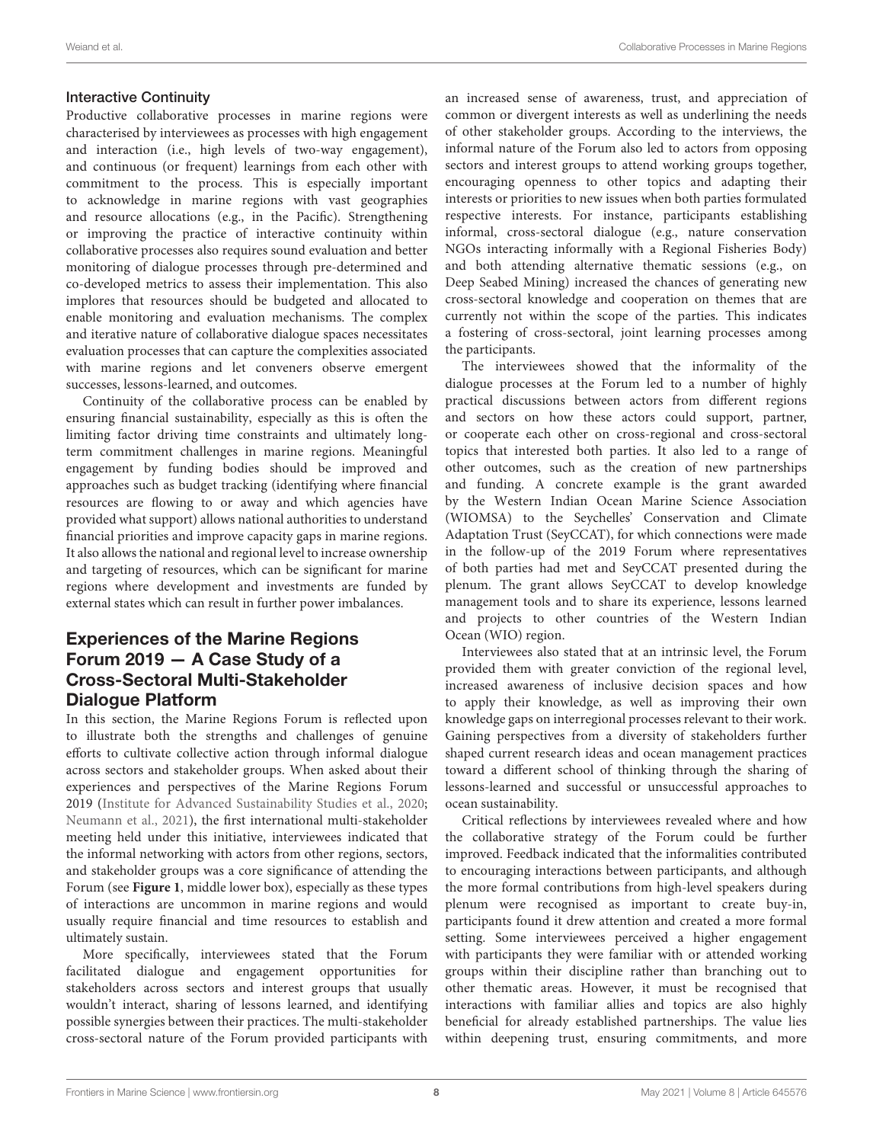#### Interactive Continuity

Productive collaborative processes in marine regions were characterised by interviewees as processes with high engagement and interaction (i.e., high levels of two-way engagement), and continuous (or frequent) learnings from each other with commitment to the process. This is especially important to acknowledge in marine regions with vast geographies and resource allocations (e.g., in the Pacific). Strengthening or improving the practice of interactive continuity within collaborative processes also requires sound evaluation and better monitoring of dialogue processes through pre-determined and co-developed metrics to assess their implementation. This also implores that resources should be budgeted and allocated to enable monitoring and evaluation mechanisms. The complex and iterative nature of collaborative dialogue spaces necessitates evaluation processes that can capture the complexities associated with marine regions and let conveners observe emergent successes, lessons-learned, and outcomes.

Continuity of the collaborative process can be enabled by ensuring financial sustainability, especially as this is often the limiting factor driving time constraints and ultimately longterm commitment challenges in marine regions. Meaningful engagement by funding bodies should be improved and approaches such as budget tracking (identifying where financial resources are flowing to or away and which agencies have provided what support) allows national authorities to understand financial priorities and improve capacity gaps in marine regions. It also allows the national and regional level to increase ownership and targeting of resources, which can be significant for marine regions where development and investments are funded by external states which can result in further power imbalances.

# Experiences of the Marine Regions Forum 2019 — A Case Study of a Cross-Sectoral Multi-Stakeholder Dialogue Platform

In this section, the Marine Regions Forum is reflected upon to illustrate both the strengths and challenges of genuine efforts to cultivate collective action through informal dialogue across sectors and stakeholder groups. When asked about their experiences and perspectives of the Marine Regions Forum 2019 [\(Institute for Advanced Sustainability Studies et al.,](#page-10-12) [2020;](#page-10-12) [Neumann et al.,](#page-11-15) [2021\)](#page-11-15), the first international multi-stakeholder meeting held under this initiative, interviewees indicated that the informal networking with actors from other regions, sectors, and stakeholder groups was a core significance of attending the Forum (see **[Figure 1](#page-4-0)**, middle lower box), especially as these types of interactions are uncommon in marine regions and would usually require financial and time resources to establish and ultimately sustain.

More specifically, interviewees stated that the Forum facilitated dialogue and engagement opportunities for stakeholders across sectors and interest groups that usually wouldn't interact, sharing of lessons learned, and identifying possible synergies between their practices. The multi-stakeholder cross-sectoral nature of the Forum provided participants with

an increased sense of awareness, trust, and appreciation of common or divergent interests as well as underlining the needs of other stakeholder groups. According to the interviews, the informal nature of the Forum also led to actors from opposing sectors and interest groups to attend working groups together, encouraging openness to other topics and adapting their interests or priorities to new issues when both parties formulated respective interests. For instance, participants establishing informal, cross-sectoral dialogue (e.g., nature conservation NGOs interacting informally with a Regional Fisheries Body) and both attending alternative thematic sessions (e.g., on Deep Seabed Mining) increased the chances of generating new cross-sectoral knowledge and cooperation on themes that are currently not within the scope of the parties. This indicates a fostering of cross-sectoral, joint learning processes among the participants.

The interviewees showed that the informality of the dialogue processes at the Forum led to a number of highly practical discussions between actors from different regions and sectors on how these actors could support, partner, or cooperate each other on cross-regional and cross-sectoral topics that interested both parties. It also led to a range of other outcomes, such as the creation of new partnerships and funding. A concrete example is the grant awarded by the Western Indian Ocean Marine Science Association (WIOMSA) to the Seychelles' Conservation and Climate Adaptation Trust (SeyCCAT), for which connections were made in the follow-up of the 2019 Forum where representatives of both parties had met and SeyCCAT presented during the plenum. The grant allows SeyCCAT to develop knowledge management tools and to share its experience, lessons learned and projects to other countries of the Western Indian Ocean (WIO) region.

Interviewees also stated that at an intrinsic level, the Forum provided them with greater conviction of the regional level, increased awareness of inclusive decision spaces and how to apply their knowledge, as well as improving their own knowledge gaps on interregional processes relevant to their work. Gaining perspectives from a diversity of stakeholders further shaped current research ideas and ocean management practices toward a different school of thinking through the sharing of lessons-learned and successful or unsuccessful approaches to ocean sustainability.

Critical reflections by interviewees revealed where and how the collaborative strategy of the Forum could be further improved. Feedback indicated that the informalities contributed to encouraging interactions between participants, and although the more formal contributions from high-level speakers during plenum were recognised as important to create buy-in, participants found it drew attention and created a more formal setting. Some interviewees perceived a higher engagement with participants they were familiar with or attended working groups within their discipline rather than branching out to other thematic areas. However, it must be recognised that interactions with familiar allies and topics are also highly beneficial for already established partnerships. The value lies within deepening trust, ensuring commitments, and more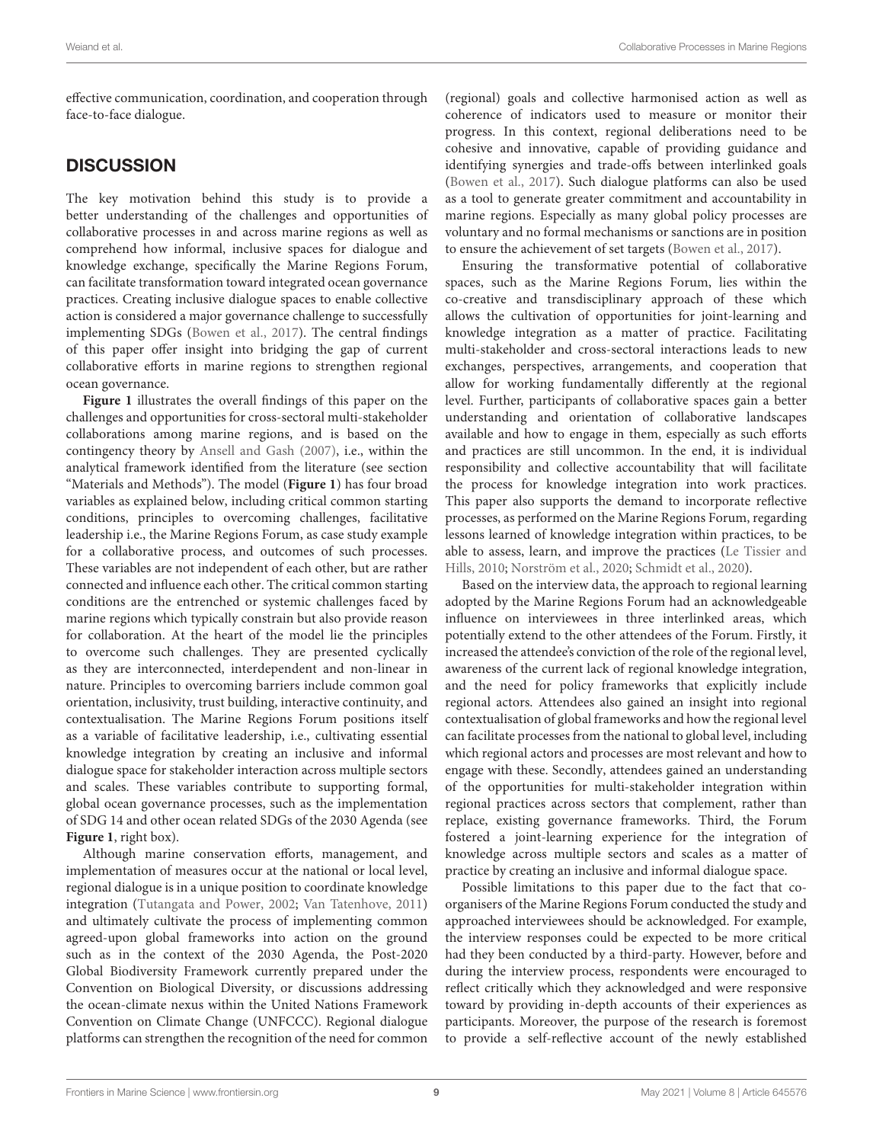effective communication, coordination, and cooperation through face-to-face dialogue.

# **DISCUSSION**

The key motivation behind this study is to provide a better understanding of the challenges and opportunities of collaborative processes in and across marine regions as well as comprehend how informal, inclusive spaces for dialogue and knowledge exchange, specifically the Marine Regions Forum, can facilitate transformation toward integrated ocean governance practices. Creating inclusive dialogue spaces to enable collective action is considered a major governance challenge to successfully implementing SDGs [\(Bowen et al.,](#page-10-2) [2017\)](#page-10-2). The central findings of this paper offer insight into bridging the gap of current collaborative efforts in marine regions to strengthen regional ocean governance.

**[Figure 1](#page-4-0)** illustrates the overall findings of this paper on the challenges and opportunities for cross-sectoral multi-stakeholder collaborations among marine regions, and is based on the contingency theory by [Ansell and Gash](#page-10-8) [\(2007\)](#page-10-8), i.e., within the analytical framework identified from the literature (see section "Materials and Methods"). The model (**[Figure 1](#page-4-0)**) has four broad variables as explained below, including critical common starting conditions, principles to overcoming challenges, facilitative leadership i.e., the Marine Regions Forum, as case study example for a collaborative process, and outcomes of such processes. These variables are not independent of each other, but are rather connected and influence each other. The critical common starting conditions are the entrenched or systemic challenges faced by marine regions which typically constrain but also provide reason for collaboration. At the heart of the model lie the principles to overcome such challenges. They are presented cyclically as they are interconnected, interdependent and non-linear in nature. Principles to overcoming barriers include common goal orientation, inclusivity, trust building, interactive continuity, and contextualisation. The Marine Regions Forum positions itself as a variable of facilitative leadership, i.e., cultivating essential knowledge integration by creating an inclusive and informal dialogue space for stakeholder interaction across multiple sectors and scales. These variables contribute to supporting formal, global ocean governance processes, such as the implementation of SDG 14 and other ocean related SDGs of the 2030 Agenda (see **[Figure 1](#page-4-0)**, right box).

Although marine conservation efforts, management, and implementation of measures occur at the national or local level, regional dialogue is in a unique position to coordinate knowledge integration [\(Tutangata and Power,](#page-11-20) [2002;](#page-11-20) [Van Tatenhove,](#page-11-8) [2011\)](#page-11-8) and ultimately cultivate the process of implementing common agreed-upon global frameworks into action on the ground such as in the context of the 2030 Agenda, the Post-2020 Global Biodiversity Framework currently prepared under the Convention on Biological Diversity, or discussions addressing the ocean-climate nexus within the United Nations Framework Convention on Climate Change (UNFCCC). Regional dialogue platforms can strengthen the recognition of the need for common

(regional) goals and collective harmonised action as well as coherence of indicators used to measure or monitor their progress. In this context, regional deliberations need to be cohesive and innovative, capable of providing guidance and identifying synergies and trade-offs between interlinked goals [\(Bowen et al.,](#page-10-2) [2017\)](#page-10-2). Such dialogue platforms can also be used as a tool to generate greater commitment and accountability in marine regions. Especially as many global policy processes are voluntary and no formal mechanisms or sanctions are in position to ensure the achievement of set targets [\(Bowen et al.,](#page-10-2) [2017\)](#page-10-2).

Ensuring the transformative potential of collaborative spaces, such as the Marine Regions Forum, lies within the co-creative and transdisciplinary approach of these which allows the cultivation of opportunities for joint-learning and knowledge integration as a matter of practice. Facilitating multi-stakeholder and cross-sectoral interactions leads to new exchanges, perspectives, arrangements, and cooperation that allow for working fundamentally differently at the regional level. Further, participants of collaborative spaces gain a better understanding and orientation of collaborative landscapes available and how to engage in them, especially as such efforts and practices are still uncommon. In the end, it is individual responsibility and collective accountability that will facilitate the process for knowledge integration into work practices. This paper also supports the demand to incorporate reflective processes, as performed on the Marine Regions Forum, regarding lessons learned of knowledge integration within practices, to be able to assess, learn, and improve the practices [\(Le Tissier and](#page-10-11) [Hills,](#page-10-11) [2010;](#page-10-11) [Norström et al.,](#page-11-6) [2020;](#page-11-6) [Schmidt et al.,](#page-11-7) [2020\)](#page-11-7).

Based on the interview data, the approach to regional learning adopted by the Marine Regions Forum had an acknowledgeable influence on interviewees in three interlinked areas, which potentially extend to the other attendees of the Forum. Firstly, it increased the attendee's conviction of the role of the regional level, awareness of the current lack of regional knowledge integration, and the need for policy frameworks that explicitly include regional actors. Attendees also gained an insight into regional contextualisation of global frameworks and how the regional level can facilitate processes from the national to global level, including which regional actors and processes are most relevant and how to engage with these. Secondly, attendees gained an understanding of the opportunities for multi-stakeholder integration within regional practices across sectors that complement, rather than replace, existing governance frameworks. Third, the Forum fostered a joint-learning experience for the integration of knowledge across multiple sectors and scales as a matter of practice by creating an inclusive and informal dialogue space.

Possible limitations to this paper due to the fact that coorganisers of the Marine Regions Forum conducted the study and approached interviewees should be acknowledged. For example, the interview responses could be expected to be more critical had they been conducted by a third-party. However, before and during the interview process, respondents were encouraged to reflect critically which they acknowledged and were responsive toward by providing in-depth accounts of their experiences as participants. Moreover, the purpose of the research is foremost to provide a self-reflective account of the newly established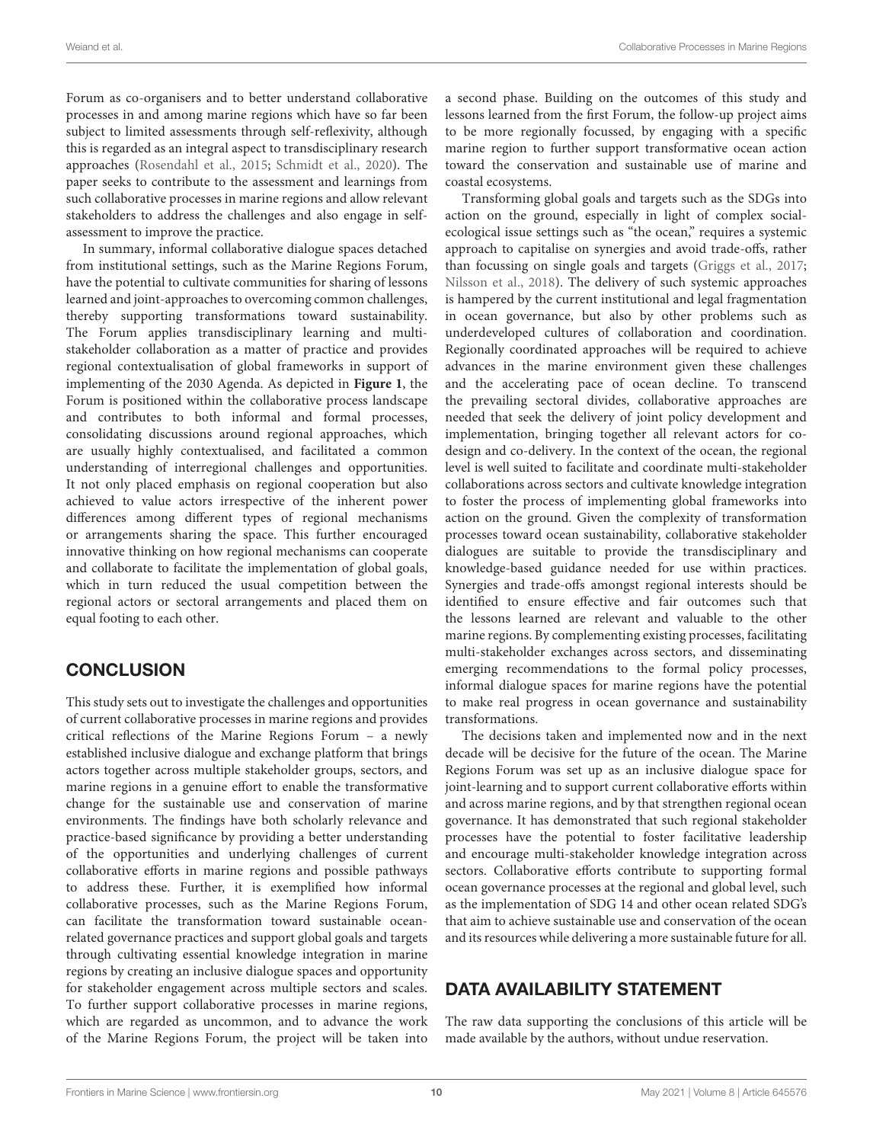Forum as co-organisers and to better understand collaborative processes in and among marine regions which have so far been subject to limited assessments through self-reflexivity, although this is regarded as an integral aspect to transdisciplinary research approaches [\(Rosendahl et al.,](#page-11-21) [2015;](#page-11-21) [Schmidt et al.,](#page-11-7) [2020\)](#page-11-7). The paper seeks to contribute to the assessment and learnings from such collaborative processes in marine regions and allow relevant stakeholders to address the challenges and also engage in selfassessment to improve the practice.

In summary, informal collaborative dialogue spaces detached from institutional settings, such as the Marine Regions Forum, have the potential to cultivate communities for sharing of lessons learned and joint-approaches to overcoming common challenges, thereby supporting transformations toward sustainability. The Forum applies transdisciplinary learning and multistakeholder collaboration as a matter of practice and provides regional contextualisation of global frameworks in support of implementing of the 2030 Agenda. As depicted in **[Figure 1](#page-4-0)**, the Forum is positioned within the collaborative process landscape and contributes to both informal and formal processes, consolidating discussions around regional approaches, which are usually highly contextualised, and facilitated a common understanding of interregional challenges and opportunities. It not only placed emphasis on regional cooperation but also achieved to value actors irrespective of the inherent power differences among different types of regional mechanisms or arrangements sharing the space. This further encouraged innovative thinking on how regional mechanisms can cooperate and collaborate to facilitate the implementation of global goals, which in turn reduced the usual competition between the regional actors or sectoral arrangements and placed them on equal footing to each other.

# **CONCLUSION**

This study sets out to investigate the challenges and opportunities of current collaborative processes in marine regions and provides critical reflections of the Marine Regions Forum – a newly established inclusive dialogue and exchange platform that brings actors together across multiple stakeholder groups, sectors, and marine regions in a genuine effort to enable the transformative change for the sustainable use and conservation of marine environments. The findings have both scholarly relevance and practice-based significance by providing a better understanding of the opportunities and underlying challenges of current collaborative efforts in marine regions and possible pathways to address these. Further, it is exemplified how informal collaborative processes, such as the Marine Regions Forum, can facilitate the transformation toward sustainable oceanrelated governance practices and support global goals and targets through cultivating essential knowledge integration in marine regions by creating an inclusive dialogue spaces and opportunity for stakeholder engagement across multiple sectors and scales. To further support collaborative processes in marine regions, which are regarded as uncommon, and to advance the work of the Marine Regions Forum, the project will be taken into

a second phase. Building on the outcomes of this study and lessons learned from the first Forum, the follow-up project aims to be more regionally focussed, by engaging with a specific marine region to further support transformative ocean action toward the conservation and sustainable use of marine and coastal ecosystems.

Transforming global goals and targets such as the SDGs into action on the ground, especially in light of complex socialecological issue settings such as "the ocean," requires a systemic approach to capitalise on synergies and avoid trade-offs, rather than focussing on single goals and targets [\(Griggs et al.,](#page-10-19) [2017;](#page-10-19) [Nilsson et al.,](#page-11-22) [2018\)](#page-11-22). The delivery of such systemic approaches is hampered by the current institutional and legal fragmentation in ocean governance, but also by other problems such as underdeveloped cultures of collaboration and coordination. Regionally coordinated approaches will be required to achieve advances in the marine environment given these challenges and the accelerating pace of ocean decline. To transcend the prevailing sectoral divides, collaborative approaches are needed that seek the delivery of joint policy development and implementation, bringing together all relevant actors for codesign and co-delivery. In the context of the ocean, the regional level is well suited to facilitate and coordinate multi-stakeholder collaborations across sectors and cultivate knowledge integration to foster the process of implementing global frameworks into action on the ground. Given the complexity of transformation processes toward ocean sustainability, collaborative stakeholder dialogues are suitable to provide the transdisciplinary and knowledge-based guidance needed for use within practices. Synergies and trade-offs amongst regional interests should be identified to ensure effective and fair outcomes such that the lessons learned are relevant and valuable to the other marine regions. By complementing existing processes, facilitating multi-stakeholder exchanges across sectors, and disseminating emerging recommendations to the formal policy processes, informal dialogue spaces for marine regions have the potential to make real progress in ocean governance and sustainability transformations.

The decisions taken and implemented now and in the next decade will be decisive for the future of the ocean. The Marine Regions Forum was set up as an inclusive dialogue space for joint-learning and to support current collaborative efforts within and across marine regions, and by that strengthen regional ocean governance. It has demonstrated that such regional stakeholder processes have the potential to foster facilitative leadership and encourage multi-stakeholder knowledge integration across sectors. Collaborative efforts contribute to supporting formal ocean governance processes at the regional and global level, such as the implementation of SDG 14 and other ocean related SDG's that aim to achieve sustainable use and conservation of the ocean and its resources while delivering a more sustainable future for all.

# DATA AVAILABILITY STATEMENT

The raw data supporting the conclusions of this article will be made available by the authors, without undue reservation.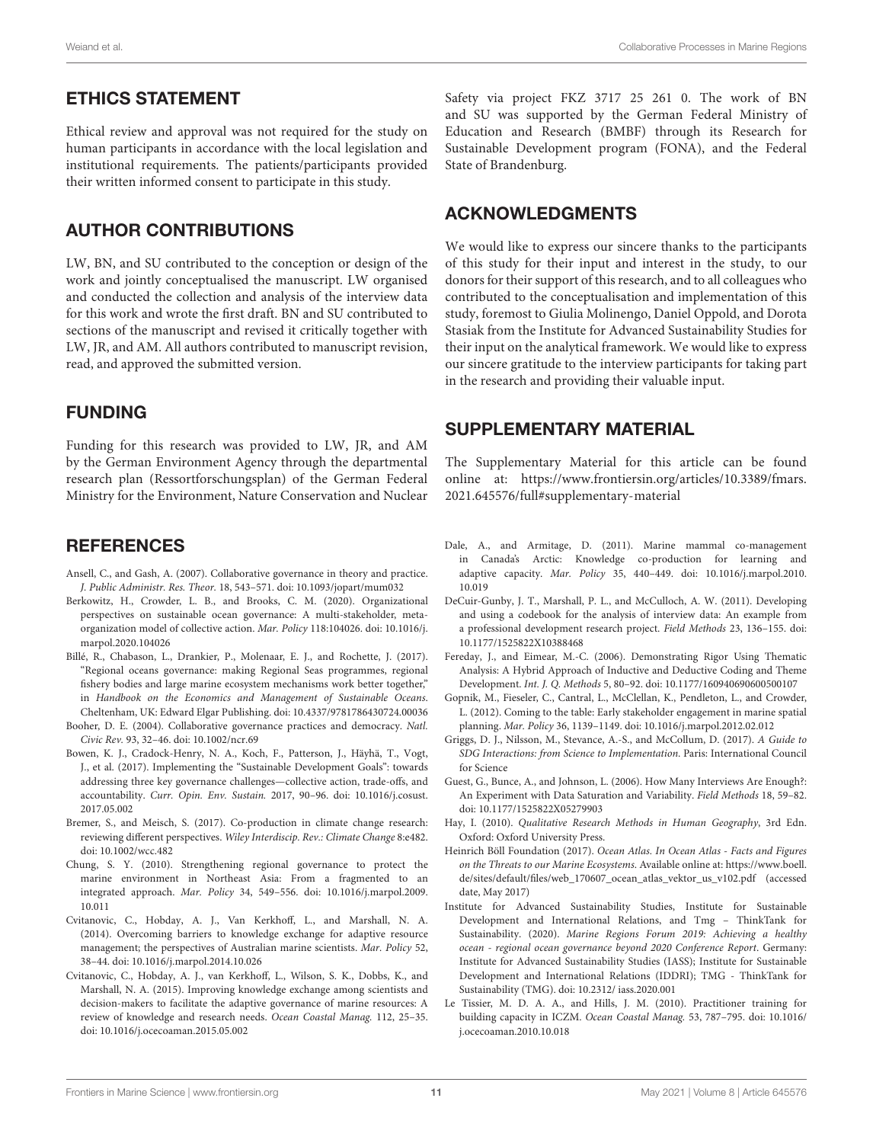#### ETHICS STATEMENT

Ethical review and approval was not required for the study on human participants in accordance with the local legislation and institutional requirements. The patients/participants provided their written informed consent to participate in this study.

# AUTHOR CONTRIBUTIONS

LW, BN, and SU contributed to the conception or design of the work and jointly conceptualised the manuscript. LW organised and conducted the collection and analysis of the interview data for this work and wrote the first draft. BN and SU contributed to sections of the manuscript and revised it critically together with LW, JR, and AM. All authors contributed to manuscript revision, read, and approved the submitted version.

#### FUNDING

Funding for this research was provided to LW, JR, and AM by the German Environment Agency through the departmental research plan (Ressortforschungsplan) of the German Federal Ministry for the Environment, Nature Conservation and Nuclear

# **REFERENCES**

- <span id="page-10-8"></span>Ansell, C., and Gash, A. (2007). Collaborative governance in theory and practice. J. Public Administr. Res. Theor. 18, 543–571. [doi: 10.1093/jopart/mum032](https://doi.org/10.1093/jopart/mum032)
- <span id="page-10-9"></span>Berkowitz, H., Crowder, L. B., and Brooks, C. M. (2020). Organizational perspectives on sustainable ocean governance: A multi-stakeholder, metaorganization model of collective action. Mar. Policy 118:104026. [doi: 10.1016/j.](https://doi.org/10.1016/j.marpol.2020.104026) [marpol.2020.104026](https://doi.org/10.1016/j.marpol.2020.104026)
- <span id="page-10-18"></span>Billé, R., Chabason, L., Drankier, P., Molenaar, E. J., and Rochette, J. (2017). "Regional oceans governance: making Regional Seas programmes, regional fishery bodies and large marine ecosystem mechanisms work better together," in Handbook on the Economics and Management of Sustainable Oceans. Cheltenham, UK: Edward Elgar Publishing. [doi: 10.4337/9781786430724.00036](https://doi.org/10.4337/9781786430724.00036)
- <span id="page-10-7"></span>Booher, D. E. (2004). Collaborative governance practices and democracy. Natl. Civic Rev. 93, 32–46. [doi: 10.1002/ncr.69](https://doi.org/10.1002/ncr.69)
- <span id="page-10-2"></span>Bowen, K. J., Cradock-Henry, N. A., Koch, F., Patterson, J., Häyhä, T., Vogt, J., et al. (2017). Implementing the "Sustainable Development Goals": towards addressing three key governance challenges—collective action, trade-offs, and accountability. Curr. Opin. Env. Sustain. 2017, 90–96. [doi: 10.1016/j.cosust.](https://doi.org/10.1016/j.cosust.2017.05.002) [2017.05.002](https://doi.org/10.1016/j.cosust.2017.05.002)
- <span id="page-10-3"></span>Bremer, S., and Meisch, S. (2017). Co-production in climate change research: reviewing different perspectives. Wiley Interdiscip. Rev.: Climate Change 8:e482. [doi: 10.1002/wcc.482](https://doi.org/10.1002/wcc.482)
- <span id="page-10-0"></span>Chung, S. Y. (2010). Strengthening regional governance to protect the marine environment in Northeast Asia: From a fragmented to an integrated approach. Mar. Policy 34, 549–556. [doi: 10.1016/j.marpol.2009.](https://doi.org/10.1016/j.marpol.2009.10.011) [10.011](https://doi.org/10.1016/j.marpol.2009.10.011)
- <span id="page-10-5"></span>Cvitanovic, C., Hobday, A. J., Van Kerkhoff, L., and Marshall, N. A. (2014). Overcoming barriers to knowledge exchange for adaptive resource management; the perspectives of Australian marine scientists. Mar. Policy 52, 38–44. [doi: 10.1016/j.marpol.2014.10.026](https://doi.org/10.1016/j.marpol.2014.10.026)
- <span id="page-10-6"></span>Cvitanovic, C., Hobday, A. J., van Kerkhoff, L., Wilson, S. K., Dobbs, K., and Marshall, N. A. (2015). Improving knowledge exchange among scientists and decision-makers to facilitate the adaptive governance of marine resources: A review of knowledge and research needs. Ocean Coastal Manag. 112, 25–35. [doi: 10.1016/j.ocecoaman.2015.05.002](https://doi.org/10.1016/j.ocecoaman.2015.05.002)

Safety via project FKZ 3717 25 261 0. The work of BN and SU was supported by the German Federal Ministry of Education and Research (BMBF) through its Research for Sustainable Development program (FONA), and the Federal State of Brandenburg.

#### ACKNOWLEDGMENTS

We would like to express our sincere thanks to the participants of this study for their input and interest in the study, to our donors for their support of this research, and to all colleagues who contributed to the conceptualisation and implementation of this study, foremost to Giulia Molinengo, Daniel Oppold, and Dorota Stasiak from the Institute for Advanced Sustainability Studies for their input on the analytical framework. We would like to express our sincere gratitude to the interview participants for taking part in the research and providing their valuable input.

# <span id="page-10-14"></span>SUPPLEMENTARY MATERIAL

The Supplementary Material for this article can be found online at: [https://www.frontiersin.org/articles/10.3389/fmars.](https://www.frontiersin.org/articles/10.3389/fmars.2021.645576/full#supplementary-material) [2021.645576/full#supplementary-material](https://www.frontiersin.org/articles/10.3389/fmars.2021.645576/full#supplementary-material)

- <span id="page-10-4"></span>Dale, A., and Armitage, D. (2011). Marine mammal co-management in Canada's Arctic: Knowledge co-production for learning and adaptive capacity. Mar. Policy 35, 440–449. [doi: 10.1016/j.marpol.2010.](https://doi.org/10.1016/j.marpol.2010.10.019) [10.019](https://doi.org/10.1016/j.marpol.2010.10.019)
- <span id="page-10-17"></span>DeCuir-Gunby, J. T., Marshall, P. L., and McCulloch, A. W. (2011). Developing and using a codebook for the analysis of interview data: An example from a professional development research project. Field Methods 23, 136–155. [doi:](https://doi.org/10.1177/1525822X10388468) [10.1177/1525822X10388468](https://doi.org/10.1177/1525822X10388468)
- <span id="page-10-16"></span>Fereday, J., and Eimear, M.-C. (2006). Demonstrating Rigor Using Thematic Analysis: A Hybrid Approach of Inductive and Deductive Coding and Theme Development. Int. J. Q. Methods 5, 80–92. [doi: 10.1177/160940690600500107](https://doi.org/10.1177/160940690600500107)
- <span id="page-10-10"></span>Gopnik, M., Fieseler, C., Cantral, L., McClellan, K., Pendleton, L., and Crowder, L. (2012). Coming to the table: Early stakeholder engagement in marine spatial planning. Mar. Policy 36, 1139–1149. [doi: 10.1016/j.marpol.2012.02.012](https://doi.org/10.1016/j.marpol.2012.02.012)
- <span id="page-10-19"></span>Griggs, D. J., Nilsson, M., Stevance, A.-S., and McCollum, D. (2017). A Guide to SDG Interactions: from Science to Implementation. Paris: International Council for Science
- <span id="page-10-13"></span>Guest, G., Bunce, A., and Johnson, L. (2006). How Many Interviews Are Enough?: An Experiment with Data Saturation and Variability. Field Methods 18, 59–82. [doi: 10.1177/1525822X05279903](https://doi.org/10.1177/1525822X05279903)
- <span id="page-10-15"></span>Hay, I. (2010). Qualitative Research Methods in Human Geography, 3rd Edn. Oxford: Oxford University Press.
- <span id="page-10-1"></span>Heinrich Böll Foundation (2017). Ocean Atlas. In Ocean Atlas - Facts and Figures on the Threats to our Marine Ecosystems. Available online at: [https://www.boell.](https://www.boell.de/sites/default/files/web_170607_ocean_atlas_vektor_us_v102.pdf) [de/sites/default/files/web\\_170607\\_ocean\\_atlas\\_vektor\\_us\\_v102.pdf](https://www.boell.de/sites/default/files/web_170607_ocean_atlas_vektor_us_v102.pdf) (accessed date, May 2017)
- <span id="page-10-12"></span>Institute for Advanced Sustainability Studies, Institute for Sustainable Development and International Relations, and Tmg – ThinkTank for Sustainability. (2020). Marine Regions Forum 2019: Achieving a healthy ocean - regional ocean governance beyond 2020 Conference Report. Germany: Institute for Advanced Sustainability Studies (IASS); Institute for Sustainable Development and International Relations (IDDRI); TMG - ThinkTank for Sustainability (TMG). [doi: 10.2312/](https://doi.org/10.2312/) iass.2020.001
- <span id="page-10-11"></span>Le Tissier, M. D. A. A., and Hills, J. M. (2010). Practitioner training for building capacity in ICZM. Ocean Coastal Manag. 53, 787–795. [doi: 10.1016/](https://doi.org/10.1016/j.ocecoaman.2010.10.018) [j.ocecoaman.2010.10.018](https://doi.org/10.1016/j.ocecoaman.2010.10.018)